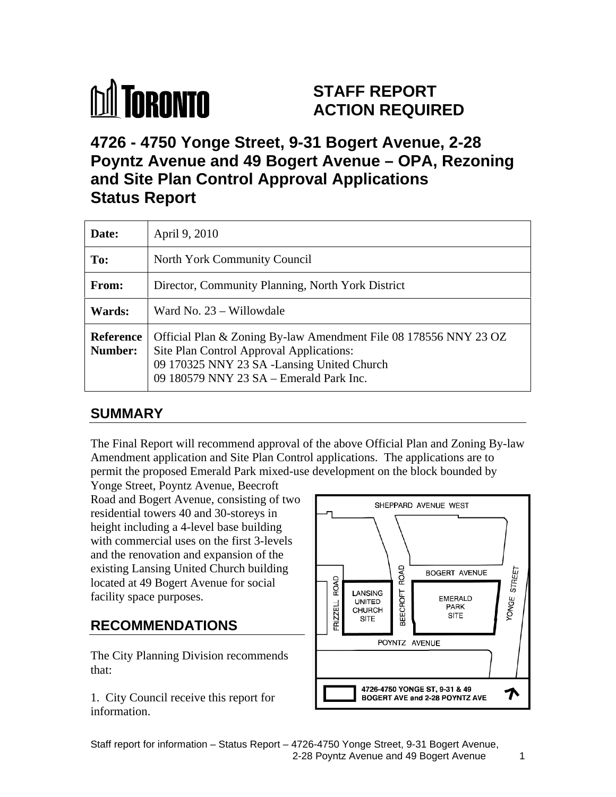# **M** TORONTO

# **STAFF REPORT ACTION REQUIRED**

# **4726 - 4750 Yonge Street, 9-31 Bogert Avenue, 2-28 Poyntz Avenue and 49 Bogert Avenue – OPA, Rezoning and Site Plan Control Approval Applications Status Report**

# **SUMMARY**

The Final Report will recommend approval of the above Official Plan and Zoning By-law Amendment application and Site Plan Control applications. The applications are to permit the proposed Emerald Park mixed-use development on the block bounded by

Yonge Street, Poyntz Avenue, Beecroft Road and Bogert Avenue, consisting of two<br>
SHEPPARD AVENUE WEST residential towers 40 and 30-storeys in height including a 4-level base building with commercial uses on the first 3-levels and the renovation and expansion of the located at 49 Bogert Avenue for social<br>facility space purposes.<br>**DECOMMENDATIONS** 

The City Planning Division recommends

information.



Staff report for information – Status Report – 4726-4750 Yonge Street, 9-31 Bogert Avenue, 2-28 Poyntz Avenue and 49 Bogert Avenue 1